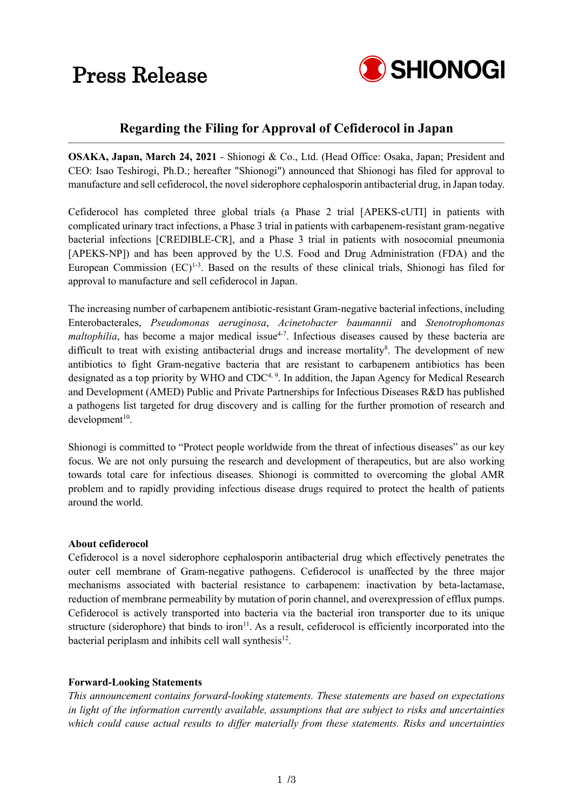# Press Release



### **Regarding the Filing for Approval of Cefiderocol in Japan**

**OSAKA, Japan, March 24, 2021** - Shionogi & Co., Ltd. (Head Office: Osaka, Japan; President and CEO: Isao Teshirogi, Ph.D.; hereafter "Shionogi") announced that Shionogi has filed for approval to manufacture and sell cefiderocol, the novel siderophore cephalosporin antibacterial drug, in Japan today.

Cefiderocol has completed three global trials (a Phase 2 trial [APEKS-cUTI] in patients with complicated urinary tract infections, a Phase 3 trial in patients with carbapenem-resistant gram-negative bacterial infections [CREDIBLE-CR], and a Phase 3 trial in patients with nosocomial pneumonia [APEKS-NP]) and has been approved by the U.S. Food and Drug Administration (FDA) and the European Commission  $(EC)^{1-3}$ . Based on the results of these clinical trials, Shionogi has filed for approval to manufacture and sell cefiderocol in Japan.

The increasing number of carbapenem antibiotic-resistant Gram-negative bacterial infections, including Enterobacterales, *Pseudomonas aeruginosa*, *Acinetobacter baumannii* and *Stenotrophomonas maltophilia*, has become a major medical issue<sup>4-7</sup>. Infectious diseases caused by these bacteria are difficult to treat with existing antibacterial drugs and increase mortality<sup>8</sup>. The development of new antibiotics to fight Gram-negative bacteria that are resistant to carbapenem antibiotics has been designated as a top priority by WHO and CDC<sup>4, 9</sup>. In addition, the Japan Agency for Medical Research and Development (AMED) Public and Private Partnerships for Infectious Diseases R&D has published a pathogens list targeted for drug discovery and is calling for the further promotion of research and  $development<sup>10</sup>$ .

Shionogi is committed to "Protect people worldwide from the threat of infectious diseases" as our key focus. We are not only pursuing the research and development of therapeutics, but are also working towards total care for infectious diseases. Shionogi is committed to overcoming the global AMR problem and to rapidly providing infectious disease drugs required to protect the health of patients around the world.

### **About cefiderocol**

Cefiderocol is a novel siderophore cephalosporin antibacterial drug which effectively penetrates the outer cell membrane of Gram-negative pathogens. Cefiderocol is unaffected by the three major mechanisms associated with bacterial resistance to carbapenem: inactivation by beta-lactamase, reduction of membrane permeability by mutation of porin channel, and overexpression of efflux pumps. Cefiderocol is actively transported into bacteria via the bacterial iron transporter due to its unique structure (siderophore) that binds to iron<sup>11</sup>. As a result, cefiderocol is efficiently incorporated into the bacterial periplasm and inhibits cell wall synthesis<sup>12</sup>.

### **Forward-Looking Statements**

*This announcement contains forward-looking statements. These statements are based on expectations in light of the information currently available, assumptions that are subject to risks and uncertainties which could cause actual results to differ materially from these statements. Risks and uncertainties*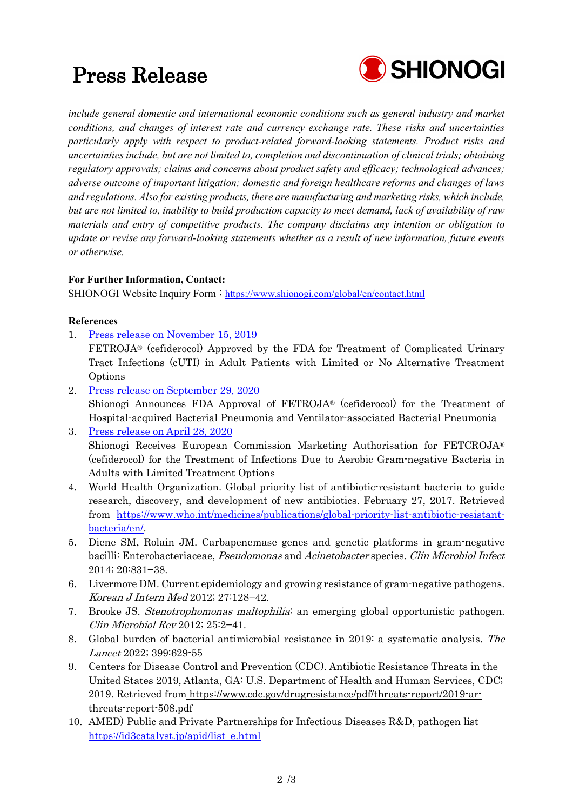# Press Release



*include general domestic and international economic conditions such as general industry and market conditions, and changes of interest rate and currency exchange rate. These risks and uncertainties particularly apply with respect to product-related forward-looking statements. Product risks and uncertainties include, but are not limited to, completion and discontinuation of clinical trials; obtaining regulatory approvals; claims and concerns about product safety and efficacy; technological advances; adverse outcome of important litigation; domestic and foreign healthcare reforms and changes of laws and regulations. Also for existing products, there are manufacturing and marketing risks, which include, but are not limited to, inability to build production capacity to meet demand, lack of availability of raw materials and entry of competitive products. The company disclaims any intention or obligation to update or revise any forward-looking statements whether as a result of new information, future events or otherwise.*

### **For Further Information, Contact:**

SHIONOGI Website Inquiry Form : <https://www.shionogi.com/global/en/contact.html>

### **References**

- 1. [Press release on November 15, 2019](https://www.shionogi.com/content/dam/shionogi/global/news/pdf/2019/e_191115.pdf)
	- FETROJA® (cefiderocol) Approved by the FDA for Treatment of Complicated Urinary Tract Infections (cUTI) in Adult Patients with Limited or No Alternative Treatment Options
- 2. [Press release on September 29, 2020](https://www.shionogi.com/global/en/news/2020/09/e-200929.html) Shionogi Announces FDA Approval of FETROJA® (cefiderocol) for the Treatment of Hospital-acquired Bacterial Pneumonia and Ventilator-associated Bacterial Pneumonia
- 3. [Press release on April 28, 2020](https://www.shionogi.com/content/dam/shionogi/global/news/pdf/2020/04/e_200428.pdf) Shionogi Receives European Commission Marketing Authorisation for FETCROJA® (cefiderocol) for the Treatment of Infections Due to Aerobic Gram-negative Bacteria in Adults with Limited Treatment Options
- 4. World Health Organization. Global priority list of antibiotic-resistant bacteria to guide research, discovery, and development of new antibiotics. February 27, 2017. Retrieved from [https://www.who.int/medicines/publications/global-priority-list-antibiotic-resistant](https://www.who.int/medicines/publications/global-priority-list-antibiotic-resistant-bacteria/en/)[bacteria/en/.](https://www.who.int/medicines/publications/global-priority-list-antibiotic-resistant-bacteria/en/)
- 5. Diene SM, Rolain JM. Carbapenemase genes and genetic platforms in gram-negative bacilli: Enterobacteriaceae, *Pseudomonas* and Acinetobacter species. Clin Microbiol Infect 2014; 20:831−38.
- 6. Livermore DM. Current epidemiology and growing resistance of gram-negative pathogens. Korean J Intern Med 2012; 27:128−42.
- 7. Brooke JS. Stenotrophomonas maltophilia: an emerging global opportunistic pathogen. Clin Microbiol Rev 2012; 25:2−41.
- 8. Global burden of bacterial antimicrobial resistance in 2019: a systematic analysis. The Lancet 2022; 399:629-55
- 9. Centers for Disease Control and Prevention (CDC). Antibiotic Resistance Threats in the United States 2019, Atlanta, GA: U.S. Department of Health and Human Services, CDC; 2019. Retrieved from [https://www.cdc.gov/drugresistance/pdf/threats-report/2019-ar](https://www.cdc.gov/drugresistance/pdf/threats-report/2019-ar-threats-report-508.pdf)[threats-report-508.pdf](https://www.cdc.gov/drugresistance/pdf/threats-report/2019-ar-threats-report-508.pdf)
- 10. AMED) Public and Private Partnerships for Infectious Diseases R&D, pathogen list [https://id3catalyst.jp/apid/list\\_e.html](https://id3catalyst.jp/apid/list_e.html)